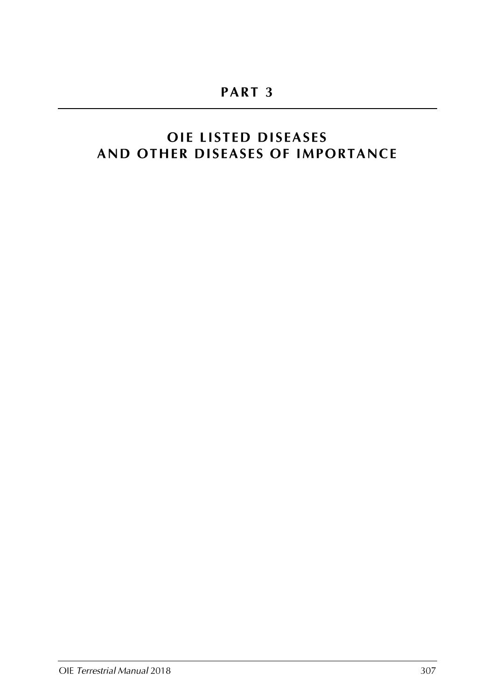# **OIE LISTED DISEASES** AND OTHER DISEASES OF IMPORTANCE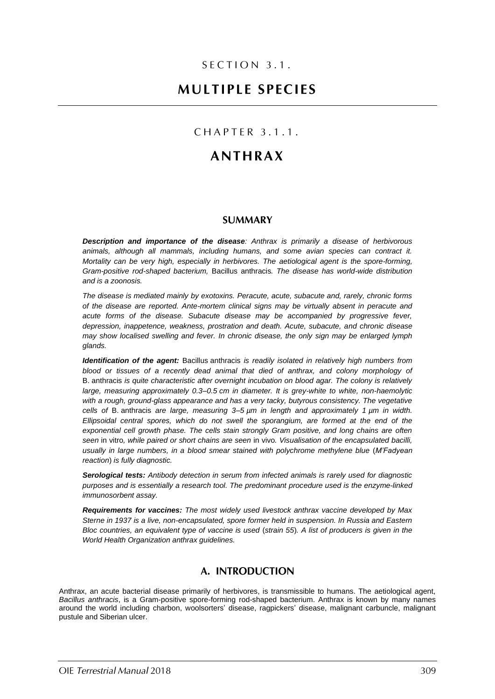### SECTION 3.1.

## **MULTIPLE SPECIES**

### CHAPTER 3.1.1.

## **ANTHRAX**

### **SUMMARY**

*Description and importance of the disease: Anthrax is primarily a disease of herbivorous animals, although all mammals, including humans, and some avian species can contract it. Mortality can be very high, especially in herbivores. The aetiological agent is the spore-forming, Gram-positive rod-shaped bacterium,* Bacillus anthracis*. The disease has world-wide distribution and is a zoonosis.*

*The disease is mediated mainly by exotoxins. Peracute, acute, subacute and, rarely, chronic forms of the disease are reported. Ante-mortem clinical signs may be virtually absent in peracute and acute forms of the disease. Subacute disease may be accompanied by progressive fever, depression, inappetence, weakness, prostration and death. Acute, subacute, and chronic disease may show localised swelling and fever. In chronic disease, the only sign may be enlarged lymph glands.*

*Identification of the agent:* Bacillus anthracis *is readily isolated in relatively high numbers from blood or tissues of a recently dead animal that died of anthrax, and colony morphology of*  B. anthracis *is quite characteristic after overnight incubation on blood agar. The colony is relatively large, measuring approximately 0.3–0.5 cm in diameter. It is grey-white to white, non-haemolytic with a rough, ground-glass appearance and has a very tacky, butyrous consistency. The vegetative cells of* B. anthracis *are large, measuring 3–5 µm in length and approximately 1 µm in width. Ellipsoidal central spores, which do not swell the sporangium, are formed at the end of the exponential cell growth phase. The cells stain strongly Gram positive, and long chains are often seen* in vitro*, while paired or short chains are seen* in vivo*. Visualisation of the encapsulated bacilli, usually in large numbers, in a blood smear stained with polychrome methylene blue* (*M'Fadyean reaction*) *is fully diagnostic.*

*Serological tests: Antibody detection in serum from infected animals is rarely used for diagnostic purposes and is essentially a research tool. The predominant procedure used is the enzyme-linked immunosorbent assay.*

*Requirements for vaccines: The most widely used livestock anthrax vaccine developed by Max Sterne in 1937 is a live, non-encapsulated, spore former held in suspension. In Russia and Eastern Bloc countries, an equivalent type of vaccine is used* (*strain 55*)*. A list of producers is given in the World Health Organization anthrax guidelines.*

### A. INTRODUCTION

Anthrax, an acute bacterial disease primarily of herbivores, is transmissible to humans. The aetiological agent, *Bacillus anthracis*, is a Gram-positive spore-forming rod-shaped bacterium. Anthrax is known by many names around the world including charbon, woolsorters' disease, ragpickers' disease, malignant carbuncle, malignant pustule and Siberian ulcer.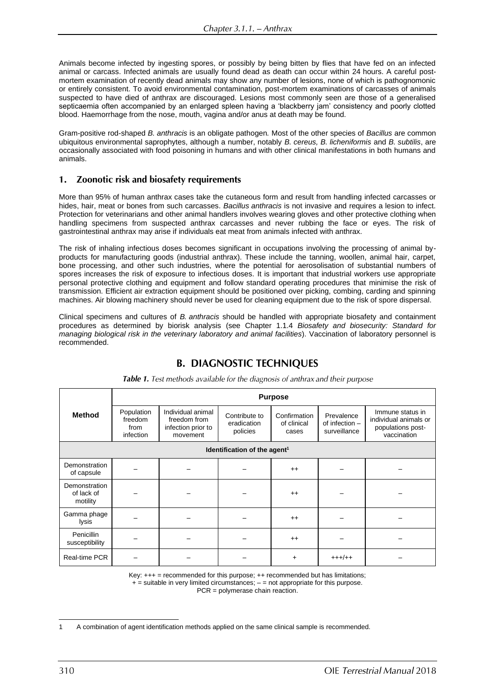Animals become infected by ingesting spores, or possibly by being bitten by flies that have fed on an infected animal or carcass. Infected animals are usually found dead as death can occur within 24 hours. A careful postmortem examination of recently dead animals may show any number of lesions, none of which is pathognomonic or entirely consistent. To avoid environmental contamination, post-mortem examinations of carcasses of animals suspected to have died of anthrax are discouraged. Lesions most commonly seen are those of a generalised septicaemia often accompanied by an enlarged spleen having a 'blackberry jam' consistency and poorly clotted blood. Haemorrhage from the nose, mouth, vagina and/or anus at death may be found.

Gram-positive rod-shaped *B. anthracis* is an obligate pathogen*.* Most of the other species of *Bacillus* are common ubiquitous environmental saprophytes, although a number, notably *B. cereus, B. licheniformis* and *B. subtilis*, are occasionally associated with food poisoning in humans and with other clinical manifestations in both humans and animals.

#### Zoonotic risk and biosafety requirements  $1<sub>1</sub>$

More than 95% of human anthrax cases take the cutaneous form and result from handling infected carcasses or hides, hair, meat or bones from such carcasses. *Bacillus anthracis* is not invasive and requires a lesion to infect. Protection for veterinarians and other animal handlers involves wearing gloves and other protective clothing when handling specimens from suspected anthrax carcasses and never rubbing the face or eyes. The risk of gastrointestinal anthrax may arise if individuals eat meat from animals infected with anthrax.

The risk of inhaling infectious doses becomes significant in occupations involving the processing of animal byproducts for manufacturing goods (industrial anthrax). These include the tanning, woollen, animal hair, carpet, bone processing, and other such industries, where the potential for aerosolisation of substantial numbers of spores increases the risk of exposure to infectious doses. It is important that industrial workers use appropriate personal protective clothing and equipment and follow standard operating procedures that minimise the risk of transmission. Efficient air extraction equipment should be positioned over picking, combing, carding and spinning machines. Air blowing machinery should never be used for cleaning equipment due to the risk of spore dispersal.

Clinical specimens and cultures of *B. anthracis* should be handled with appropriate biosafety and containment procedures as determined by biorisk analysis (see Chapter 1.1.4 *Biosafety and biosecurity: Standard for managing biological risk in the veterinary laboratory and animal facilities*). Vaccination of laboratory personnel is recommended.

## **B. DIAGNOSTIC TECHNIQUES**

| <b>Method</b>                            | <b>Purpose</b>                             |                                                                     |                                          |                                      |                                                |                                                                               |  |  |
|------------------------------------------|--------------------------------------------|---------------------------------------------------------------------|------------------------------------------|--------------------------------------|------------------------------------------------|-------------------------------------------------------------------------------|--|--|
|                                          | Population<br>freedom<br>from<br>infection | Individual animal<br>freedom from<br>infection prior to<br>movement | Contribute to<br>eradication<br>policies | Confirmation<br>of clinical<br>cases | Prevalence<br>of infection $-$<br>surveillance | Immune status in<br>individual animals or<br>populations post-<br>vaccination |  |  |
| Identification of the agent <sup>1</sup> |                                            |                                                                     |                                          |                                      |                                                |                                                                               |  |  |
| Demonstration<br>of capsule              |                                            |                                                                     |                                          | $++$                                 |                                                |                                                                               |  |  |
| Demonstration<br>of lack of<br>motility  |                                            |                                                                     |                                          | $++$                                 |                                                |                                                                               |  |  |
| Gamma phage<br>lysis                     |                                            |                                                                     |                                          | $++$                                 |                                                |                                                                               |  |  |
| Penicillin<br>susceptibility             |                                            |                                                                     |                                          | $^{++}$                              |                                                |                                                                               |  |  |
| Real-time PCR                            |                                            |                                                                     |                                          | $+$                                  | $+++/++$                                       |                                                                               |  |  |

Table 1. Test methods available for the diagnosis of anthrax and their purpose

Key: +++ = recommended for this purpose; ++ recommended but has limitations;  $+$  = suitable in very limited circumstances;  $-$  = not appropriate for this purpose.

PCR = polymerase chain reaction.

<sup>1</sup> A combination of agent identification methods applied on the same clinical sample is recommended.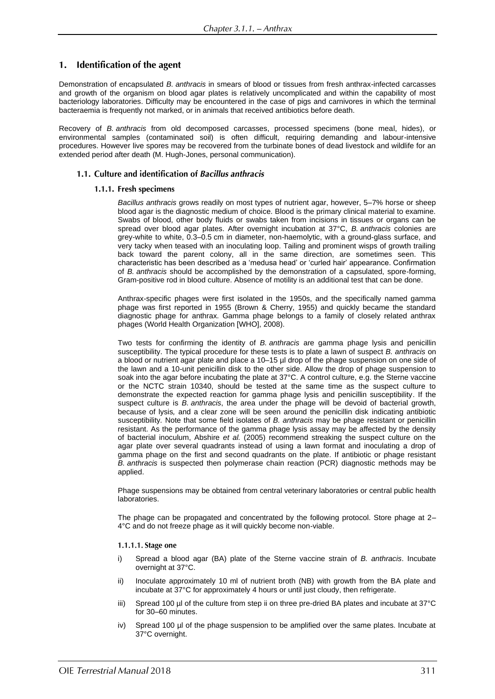#### 1. Identification of the agent

Demonstration of encapsulated *B. anthracis* in smears of blood or tissues from fresh anthrax-infected carcasses and growth of the organism on blood agar plates is relatively uncomplicated and within the capability of most bacteriology laboratories. Difficulty may be encountered in the case of pigs and carnivores in which the terminal bacteraemia is frequently not marked, or in animals that received antibiotics before death.

Recovery of *B. anthracis* from old decomposed carcasses, processed specimens (bone meal, hides), or environmental samples (contaminated soil) is often difficult, requiring demanding and labour-intensive procedures. However live spores may be recovered from the turbinate bones of dead livestock and wildlife for an extended period after death (M. Hugh-Jones, personal communication).

### 1.1. Culture and identification of Bacillus anthracis

### 1.1.1. Fresh specimens

*Bacillus anthracis* grows readily on most types of nutrient agar, however, 5–7% horse or sheep blood agar is the diagnostic medium of choice. Blood is the primary clinical material to examine. Swabs of blood, other body fluids or swabs taken from incisions in tissues or organs can be spread over blood agar plates. After overnight incubation at 37°C, *B. anthracis* colonies are grey-white to white, 0.3–0.5 cm in diameter, non-haemolytic, with a ground-glass surface, and very tacky when teased with an inoculating loop. Tailing and prominent wisps of growth trailing back toward the parent colony, all in the same direction, are sometimes seen. This characteristic has been described as a 'medusa head' or 'curled hair' appearance. Confirmation of *B. anthracis* should be accomplished by the demonstration of a capsulated, spore-forming, Gram-positive rod in blood culture. Absence of motility is an additional test that can be done.

Anthrax-specific phages were first isolated in the 1950s, and the specifically named gamma phage was first reported in 1955 (Brown & Cherry, 1955) and quickly became the standard diagnostic phage for anthrax. Gamma phage belongs to a family of closely related anthrax phages (World Health Organization [WHO], 2008).

Two tests for confirming the identity of *B. anthracis* are gamma phage lysis and penicillin susceptibility. The typical procedure for these tests is to plate a lawn of suspect *B. anthracis* on a blood or nutrient agar plate and place a 10–15 µl drop of the phage suspension on one side of the lawn and a 10-unit penicillin disk to the other side. Allow the drop of phage suspension to soak into the agar before incubating the plate at 37°C. A control culture, e.g. the Sterne vaccine or the NCTC strain 10340, should be tested at the same time as the suspect culture to demonstrate the expected reaction for gamma phage lysis and penicillin susceptibility. If the suspect culture is *B. anthracis*, the area under the phage will be devoid of bacterial growth, because of lysis*,* and a clear zone will be seen around the penicillin disk indicating antibiotic susceptibility*.* Note that some field isolates of *B. anthracis* may be phage resistant or penicillin resistant. As the performance of the gamma phage lysis assay may be affected by the density of bacterial inoculum, Abshire *et al.* (2005) recommend streaking the suspect culture on the agar plate over several quadrants instead of using a lawn format and inoculating a drop of gamma phage on the first and second quadrants on the plate. If antibiotic or phage resistant *B. anthracis* is suspected then polymerase chain reaction (PCR) diagnostic methods may be applied.

Phage suspensions may be obtained from central veterinary laboratories or central public health laboratories.

The phage can be propagated and concentrated by the following protocol. Store phage at 2– 4°C and do not freeze phage as it will quickly become non-viable.

### 1.1.1.1. Stage one

- i) Spread a blood agar (BA) plate of the Sterne vaccine strain of *B. anthracis*. Incubate overnight at 37°C.
- ii) Inoculate approximately 10 ml of nutrient broth (NB) with growth from the BA plate and incubate at 37°C for approximately 4 hours or until just cloudy, then refrigerate.
- iii) Spread 100 µl of the culture from step ii on three pre-dried BA plates and incubate at 37°C for 30–60 minutes.
- iv) Spread 100 µl of the phage suspension to be amplified over the same plates. Incubate at 37°C overnight.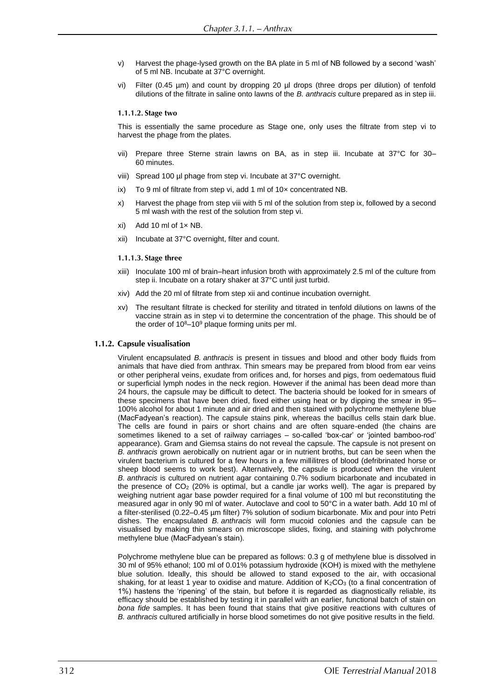- v) Harvest the phage-lysed growth on the BA plate in 5 ml of NB followed by a second 'wash' of 5 ml NB. Incubate at 37°C overnight.
- vi) Filter (0.45 µm) and count by dropping 20 µl drops (three drops per dilution) of tenfold dilutions of the filtrate in saline onto lawns of the *B. anthracis* culture prepared as in step iii.

### 1.1.1.2. Stage two

This is essentially the same procedure as Stage one, only uses the filtrate from step vi to harvest the phage from the plates.

- vii) Prepare three Sterne strain lawns on BA, as in step iii. Incubate at 37°C for 30– 60 minutes.
- viii) Spread 100 µl phage from step vi. Incubate at 37°C overnight.
- ix) To 9 ml of filtrate from step vi, add 1 ml of  $10\times$  concentrated NB.
- x) Harvest the phage from step viii with 5 ml of the solution from step ix, followed by a second 5 ml wash with the rest of the solution from step vi.
- $x$ i) Add 10 ml of 1 $x$  NB.
- xii) Incubate at 37°C overnight, filter and count.

### 1.1.1.3. Stage three

- xiii) Inoculate 100 ml of brain–heart infusion broth with approximately 2.5 ml of the culture from step ii. Incubate on a rotary shaker at 37°C until just turbid.
- xiv) Add the 20 ml of filtrate from step xii and continue incubation overnight.
- xv) The resultant filtrate is checked for sterility and titrated in tenfold dilutions on lawns of the vaccine strain as in step vi to determine the concentration of the phage. This should be of the order of  $10^8 - 10^9$  plaque forming units per ml.

### 1.1.2. Capsule visualisation

Virulent encapsulated *B. anthracis* is present in tissues and blood and other body fluids from animals that have died from anthrax. Thin smears may be prepared from blood from ear veins or other peripheral veins, exudate from orifices and, for horses and pigs, from oedematous fluid or superficial lymph nodes in the neck region. However if the animal has been dead more than 24 hours, the capsule may be difficult to detect. The bacteria should be looked for in smears of these specimens that have been dried, fixed either using heat or by dipping the smear in 95– 100% alcohol for about 1 minute and air dried and then stained with polychrome methylene blue (MacFadyean's reaction). The capsule stains pink, whereas the bacillus cells stain dark blue. The cells are found in pairs or short chains and are often square-ended (the chains are sometimes likened to a set of railway carriages – so-called 'box-car' or 'jointed bamboo-rod' appearance). Gram and Giemsa stains do not reveal the capsule. The capsule is not present on *B. anthracis* grown aerobically on nutrient agar or in nutrient broths, but can be seen when the virulent bacterium is cultured for a few hours in a few millilitres of blood (defribrinated horse or sheep blood seems to work best). Alternatively, the capsule is produced when the virulent *B. anthracis* is cultured on nutrient agar containing 0.7% sodium bicarbonate and incubated in the presence of  $CO<sub>2</sub>$  (20% is optimal, but a candle jar works well). The agar is prepared by weighing nutrient agar base powder required for a final volume of 100 ml but reconstituting the measured agar in only 90 ml of water. Autoclave and cool to 50°C in a water bath. Add 10 ml of a filter-sterilised (0.22–0.45 µm filter) 7% solution of sodium bicarbonate. Mix and pour into Petri dishes. The encapsulated *B. anthracis* will form mucoid colonies and the capsule can be visualised by making thin smears on microscope slides, fixing, and staining with polychrome methylene blue (MacFadyean's stain).

Polychrome methylene blue can be prepared as follows: 0.3 g of methylene blue is dissolved in 30 ml of 95% ethanol; 100 ml of 0.01% potassium hydroxide (KOH) is mixed with the methylene blue solution. Ideally, this should be allowed to stand exposed to the air, with occasional shaking, for at least 1 year to oxidise and mature. Addition of  $K_2CO_3$  (to a final concentration of 1%) hastens the 'ripening' of the stain, but before it is regarded as diagnostically reliable, its efficacy should be established by testing it in parallel with an earlier, functional batch of stain on *bona fide* samples. It has been found that stains that give positive reactions with cultures of *B. anthracis* cultured artificially in horse blood sometimes do not give positive results in the field.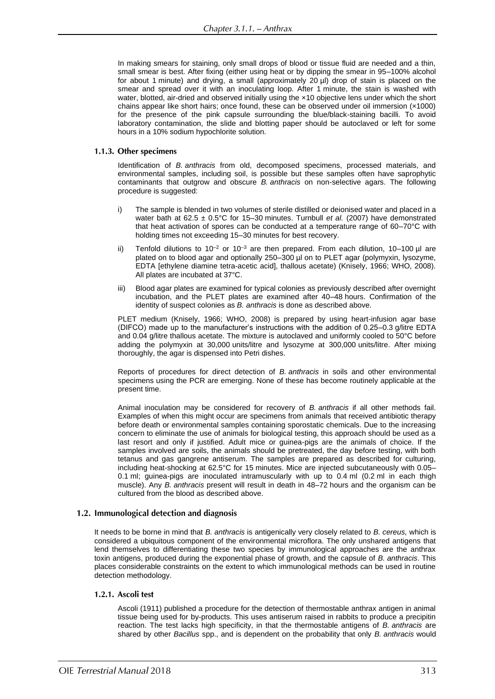In making smears for staining, only small drops of blood or tissue fluid are needed and a thin. small smear is best. After fixing (either using heat or by dipping the smear in 95–100% alcohol for about 1 minute) and drying, a small (approximately 20 µl) drop of stain is placed on the smear and spread over it with an inoculating loop. After 1 minute, the stain is washed with water, blotted, air-dried and observed initially using the  $\times$ 10 objective lens under which the short chains appear like short hairs; once found, these can be observed under oil immersion ( $\times$ 1000) for the presence of the pink capsule surrounding the blue/black-staining bacilli. To avoid laboratory contamination, the slide and blotting paper should be autoclaved or left for some hours in a 10% sodium hypochlorite solution.

### 1.1.3. Other specimens

Identification of *B. anthracis* from old, decomposed specimens, processed materials, and environmental samples, including soil, is possible but these samples often have saprophytic contaminants that outgrow and obscure *B. anthracis* on non-selective agars. The following procedure is suggested:

- i) The sample is blended in two volumes of sterile distilled or deionised water and placed in a water bath at  $62.5 \pm 0.5^{\circ}$ C for 15-30 minutes. Turnbull *et al.* (2007) have demonstrated that heat activation of spores can be conducted at a temperature range of 60–70°C with holding times not exceeding 15–30 minutes for best recovery.
- Tenfold dilutions to  $10^{-2}$  or  $10^{-3}$  are then prepared. From each dilution, 10–100 µl are plated on to blood agar and optionally 250-300 µl on to PLET agar (polymyxin, lysozyme, EDTA [ethylene diamine tetra-acetic acid], thallous acetate) (Knisely, 1966; WHO, 2008). All plates are incubated at 37°C.
- iii) Blood agar plates are examined for typical colonies as previously described after overnight incubation, and the PLET plates are examined after 40–48 hours. Confirmation of the identity of suspect colonies as *B. anthracis* is done as described above.

PLET medium (Knisely, 1966; WHO, 2008) is prepared by using heart-infusion agar base (DIFCO) made up to the manufacturer's instructions with the addition of 0.25–0.3 g/litre EDTA and 0.04 g/litre thallous acetate. The mixture is autoclaved and uniformly cooled to 50°C before adding the polymyxin at 30,000 units/litre and lysozyme at 300,000 units/litre. After mixing thoroughly, the agar is dispensed into Petri dishes.

Reports of procedures for direct detection of *B. anthracis* in soils and other environmental specimens using the PCR are emerging. None of these has become routinely applicable at the present time.

Animal inoculation may be considered for recovery of *B. anthracis* if all other methods fail. Examples of when this might occur are specimens from animals that received antibiotic therapy before death or environmental samples containing sporostatic chemicals. Due to the increasing concern to eliminate the use of animals for biological testing, this approach should be used as a last resort and only if justified. Adult mice or guinea-pigs are the animals of choice. If the samples involved are soils, the animals should be pretreated, the day before testing, with both tetanus and gas gangrene antiserum. The samples are prepared as described for culturing, including heat-shocking at 62.5°C for 15 minutes. Mice are injected subcutaneously with 0.05– 0.1 ml; guinea-pigs are inoculated intramuscularly with up to 0.4 ml (0.2 ml in each thigh muscle). Any *B. anthracis* present will result in death in 48–72 hours and the organism can be cultured from the blood as described above.

### 1.2. Immunological detection and diagnosis

It needs to be borne in mind that *B. anthracis* is antigenically very closely related to *B. cereus,* which is considered a ubiquitous component of the environmental microflora. The only unshared antigens that lend themselves to differentiating these two species by immunological approaches are the anthrax toxin antigens, produced during the exponential phase of growth, and the capsule of *B. anthracis*. This places considerable constraints on the extent to which immunological methods can be used in routine detection methodology.

### 1.2.1. Ascoli test

Ascoli (1911) published a procedure for the detection of thermostable anthrax antigen in animal tissue being used for by-products. This uses antiserum raised in rabbits to produce a precipitin reaction. The test lacks high specificity, in that the thermostable antigens of *B. anthracis* are shared by other *Bacillus* spp., and is dependent on the probability that only *B. anthracis* would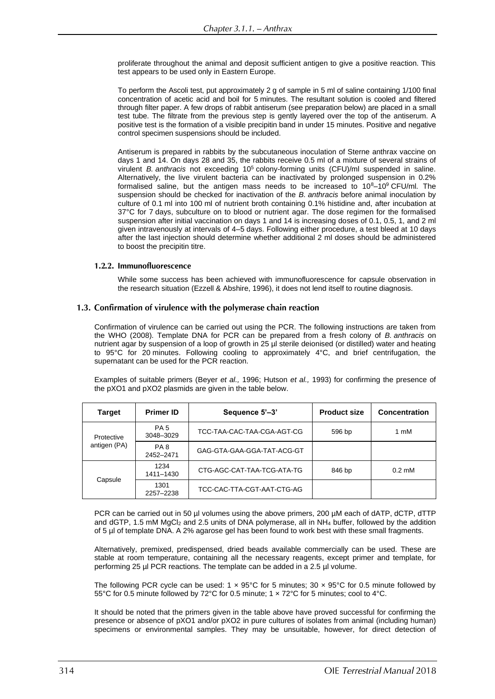proliferate throughout the animal and deposit sufficient antigen to give a positive reaction. This test appears to be used only in Eastern Europe.

To perform the Ascoli test, put approximately 2 g of sample in 5 ml of saline containing 1/100 final concentration of acetic acid and boil for 5 minutes. The resultant solution is cooled and filtered through filter paper. A few drops of rabbit antiserum (see preparation below) are placed in a small test tube. The filtrate from the previous step is gently layered over the top of the antiserum. A positive test is the formation of a visible precipitin band in under 15 minutes. Positive and negative control specimen suspensions should be included.

Antiserum is prepared in rabbits by the subcutaneous inoculation of Sterne anthrax vaccine on days 1 and 14. On days 28 and 35, the rabbits receive 0.5 ml of a mixture of several strains of virulent *B. anthracis* not exceeding 10<sup>5</sup> colony-forming units (CFU)/ml suspended in saline. Alternatively, the live virulent bacteria can be inactivated by prolonged suspension in 0.2% formalised saline, but the antigen mass needs to be increased to  $10^8-10^9$  CFU/ml. The suspension should be checked for inactivation of the *B. anthracis* before animal inoculation by culture of 0.1 ml into 100 ml of nutrient broth containing 0.1% histidine and, after incubation at 37°C for 7 days, subculture on to blood or nutrient agar. The dose regimen for the formalised suspension after initial vaccination on days 1 and 14 is increasing doses of 0.1, 0.5, 1, and 2 ml given intravenously at intervals of 4–5 days. Following either procedure, a test bleed at 10 days after the last injection should determine whether additional 2 ml doses should be administered to boost the precipitin titre.

### 1.2.2. Immunofluorescence

While some success has been achieved with immunofluorescence for capsule observation in the research situation (Ezzell & Abshire, 1996), it does not lend itself to routine diagnosis.

### 1.3. Confirmation of virulence with the polymerase chain reaction

Confirmation of virulence can be carried out using the PCR. The following instructions are taken from the WHO (2008). Template DNA for PCR can be prepared from a fresh colony of *B. anthracis* on nutrient agar by suspension of a loop of growth in 25 µl sterile deionised (or distilled) water and heating to 95°C for 20 minutes. Following cooling to approximately 4°C, and brief centrifugation, the supernatant can be used for the PCR reaction.

Examples of suitable primers (Beyer *et al.,* 1996; Hutson *et al.,* 1993) for confirming the presence of the pXO1 and pXO2 plasmids are given in the table below.

| <b>Target</b>              | <b>Primer ID</b>             | Sequence 5'-3'             | <b>Product size</b> | <b>Concentration</b>      |
|----------------------------|------------------------------|----------------------------|---------------------|---------------------------|
| Protective<br>antigen (PA) | PA <sub>5</sub><br>3048-3029 | TCC-TAA-CAC-TAA-CGA-AGT-CG | 596 bp              | 1 mM                      |
|                            | PA <sub>8</sub><br>2452-2471 | GAG-GTA-GAA-GGA-TAT-ACG-GT |                     |                           |
| Capsule                    | 1234<br>1411-1430            | CTG-AGC-CAT-TAA-TCG-ATA-TG | 846 bp              | $0.2 \text{ }\mathrm{mM}$ |
|                            | 1301<br>2257-2238            | TCC-CAC-TTA-CGT-AAT-CTG-AG |                     |                           |

PCR can be carried out in 50 µl volumes using the above primers, 200 µM each of dATP, dCTP, dTTP and dGTP, 1.5 mM MgCl<sub>2</sub> and 2.5 units of DNA polymerase, all in NH<sub>4</sub> buffer, followed by the addition of 5 µl of template DNA. A 2% agarose gel has been found to work best with these small fragments.

Alternatively, premixed, predispensed, dried beads available commercially can be used. These are stable at room temperature, containing all the necessary reagents, except primer and template, for performing 25 µl PCR reactions. The template can be added in a 2.5 µl volume.

The following PCR cycle can be used:  $1 \times 95^{\circ}$ C for 5 minutes;  $30 \times 95^{\circ}$ C for 0.5 minute followed by 55°C for 0.5 minute followed by 72°C for 0.5 minute; 1 × 72°C for 5 minutes; cool to 4°C.

It should be noted that the primers given in the table above have proved successful for confirming the presence or absence of pXO1 and/or pXO2 in pure cultures of isolates from animal (including human) specimens or environmental samples. They may be unsuitable, however, for direct detection of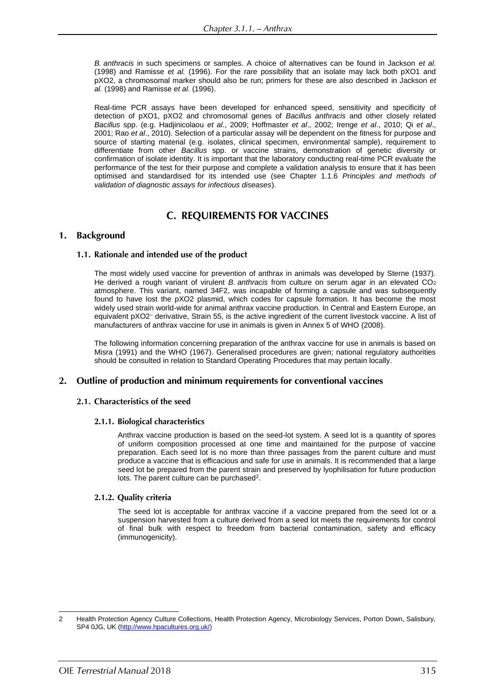*B. anthracis* in such specimens or samples. A choice of alternatives can be found in Jackson *et al.* (1998) and Ramisse *et al.* (1996). For the rare possibility that an isolate may lack both pXO1 and pXO2, a chromosomal marker should also be run; primers for these are also described in Jackson *et al.* (1998) and Ramisse *et al.* (1996).

Real-time PCR assays have been developed for enhanced speed, sensitivity and specificity of detection of pXO1, pXO2 and chromosomal genes of *Bacillus anthracis* and other closely related *Bacillus* spp. (e.g. Hadjinicolaou *et al*., 2009; Hoffmaster *et al*., 2002; Irenge *et al*., 2010; Qi *et al*., 2001; Rao *et al*., 2010). Selection of a particular assay will be dependent on the fitness for purpose and source of starting material (e.g. isolates, clinical specimen, environmental sample), requirement to differentiate from other *Bacillus* spp. or vaccine strains, demonstration of genetic diversity or confirmation of isolate identity. It is important that the laboratory conducting real-time PCR evaluate the performance of the test for their purpose and complete a validation analysis to ensure that it has been optimised and standardised for its intended use (see Chapter 1.1.6 *Principles and methods of validation of diagnostic assays for infectious diseases*).

### **C. REQUIREMENTS FOR VACCINES**

#### **Background**  $1.$

### 1.1. Rationale and intended use of the product

The most widely used vaccine for prevention of anthrax in animals was developed by Sterne (1937). He derived a rough variant of virulent *B. anthracis* from culture on serum agar in an elevated CO<sup>2</sup> atmosphere. This variant, named 34F2, was incapable of forming a capsule and was subsequently found to have lost the pXO2 plasmid, which codes for capsule formation. It has become the most widely used strain world-wide for animal anthrax vaccine production. In Central and Eastern Europe, an equivalent pXO2– derivative, Strain 55, is the active ingredient of the current livestock vaccine. A list of manufacturers of anthrax vaccine for use in animals is given in Annex 5 of WHO (2008).

The following information concerning preparation of the anthrax vaccine for use in animals is based on Misra (1991) and the WHO (1967). Generalised procedures are given; national regulatory authorities should be consulted in relation to Standard Operating Procedures that may pertain locally.

### 2. Outline of production and minimum requirements for conventional vaccines

### 2.1. Characteristics of the seed

### 2.1.1. Biological characteristics

Anthrax vaccine production is based on the seed-lot system. A seed lot is a quantity of spores of uniform composition processed at one time and maintained for the purpose of vaccine preparation. Each seed lot is no more than three passages from the parent culture and must produce a vaccine that is efficacious and safe for use in animals. It is recommended that a large seed lot be prepared from the parent strain and preserved by lyophilisation for future production lots. The parent culture can be purchased<sup>2</sup>.

### 2.1.2. Quality criteria

The seed lot is acceptable for anthrax vaccine if a vaccine prepared from the seed lot or a suspension harvested from a culture derived from a seed lot meets the requirements for control of final bulk with respect to freedom from bacterial contamination, safety and efficacy (immunogenicity).

<sup>2</sup> Health Protection Agency Culture Collections, Health Protection Agency, Microbiology Services, Porton Down, Salisbury, SP4 0JG, UK (http://www.hpacultures.org.uk/)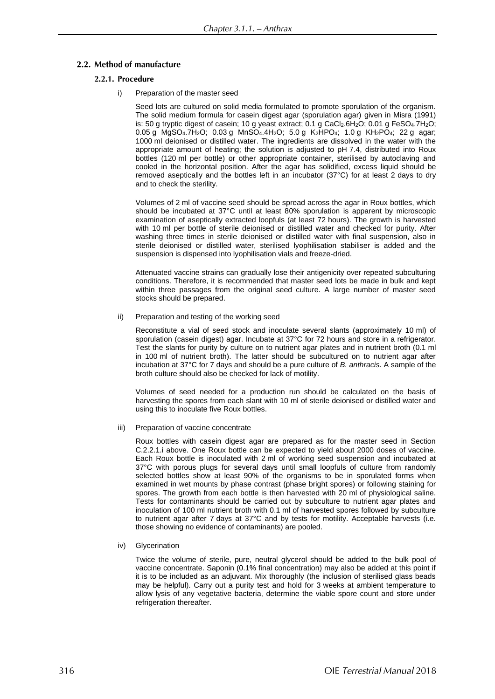### 2.2. Method of manufacture

### 2.2.1. Procedure

i) Preparation of the master seed

Seed lots are cultured on solid media formulated to promote sporulation of the organism. The solid medium formula for casein digest agar (sporulation agar) given in Misra (1991) is: 50 g tryptic digest of casein; 10 g yeast extract; 0.1 g  $CaCl<sub>2</sub>.6H<sub>2</sub>O$ ; 0.01 g  $FeSO<sub>4</sub>.7H<sub>2</sub>O$ ; 0.05 g MgSO4.7H2O; 0.03 g MnSO4.4H2O; 5.0 g K2HPO4; 1.0 g KH2PO4; 22 g agar; 1000 ml deionised or distilled water. The ingredients are dissolved in the water with the appropriate amount of heating; the solution is adjusted to pH 7.4, distributed into Roux bottles (120 ml per bottle) or other appropriate container, sterilised by autoclaving and cooled in the horizontal position. After the agar has solidified, excess liquid should be removed aseptically and the bottles left in an incubator (37°C) for at least 2 days to dry and to check the sterility.

Volumes of 2 ml of vaccine seed should be spread across the agar in Roux bottles, which should be incubated at 37°C until at least 80% sporulation is apparent by microscopic examination of aseptically extracted loopfuls (at least 72 hours). The growth is harvested with 10 ml per bottle of sterile deionised or distilled water and checked for purity. After washing three times in sterile deionised or distilled water with final suspension, also in sterile deionised or distilled water, sterilised lyophilisation stabiliser is added and the suspension is dispensed into lyophilisation vials and freeze-dried.

Attenuated vaccine strains can gradually lose their antigenicity over repeated subculturing conditions. Therefore, it is recommended that master seed lots be made in bulk and kept within three passages from the original seed culture. A large number of master seed stocks should be prepared.

ii) Preparation and testing of the working seed

Reconstitute a vial of seed stock and inoculate several slants (approximately 10 ml) of sporulation (casein digest) agar. Incubate at 37°C for 72 hours and store in a refrigerator. Test the slants for purity by culture on to nutrient agar plates and in nutrient broth (0.1 ml in 100 ml of nutrient broth). The latter should be subcultured on to nutrient agar after incubation at 37°C for 7 days and should be a pure culture of *B. anthracis*. A sample of the broth culture should also be checked for lack of motility.

Volumes of seed needed for a production run should be calculated on the basis of harvesting the spores from each slant with 10 ml of sterile deionised or distilled water and using this to inoculate five Roux bottles.

iii) Preparation of vaccine concentrate

Roux bottles with casein digest agar are prepared as for the master seed in Section C.2.2.1.i above. One Roux bottle can be expected to yield about 2000 doses of vaccine. Each Roux bottle is inoculated with 2 ml of working seed suspension and incubated at 37°C with porous plugs for several days until small loopfuls of culture from randomly selected bottles show at least 90% of the organisms to be in sporulated forms when examined in wet mounts by phase contrast (phase bright spores) or following staining for spores. The growth from each bottle is then harvested with 20 ml of physiological saline. Tests for contaminants should be carried out by subculture to nutrient agar plates and inoculation of 100 ml nutrient broth with 0.1 ml of harvested spores followed by subculture to nutrient agar after 7 days at 37°C and by tests for motility. Acceptable harvests (i.e. those showing no evidence of contaminants) are pooled.

iv) Glycerination

Twice the volume of sterile, pure, neutral glycerol should be added to the bulk pool of vaccine concentrate. Saponin (0.1% final concentration) may also be added at this point if it is to be included as an adjuvant. Mix thoroughly (the inclusion of sterilised glass beads may be helpful). Carry out a purity test and hold for 3 weeks at ambient temperature to allow lysis of any vegetative bacteria, determine the viable spore count and store under refrigeration thereafter.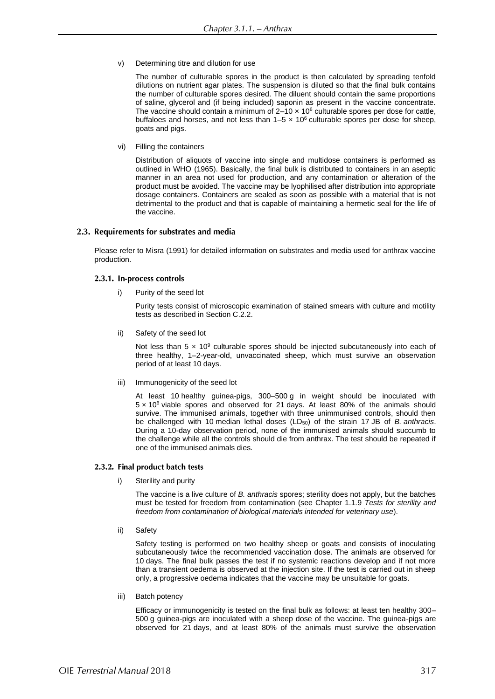v) Determining titre and dilution for use

The number of culturable spores in the product is then calculated by spreading tenfold dilutions on nutrient agar plates. The suspension is diluted so that the final bulk contains the number of culturable spores desired. The diluent should contain the same proportions of saline, glycerol and (if being included) saponin as present in the vaccine concentrate. The vaccine should contain a minimum of  $2-10 \times 10^6$  culturable spores per dose for cattle, buffaloes and horses, and not less than  $1-5 \times 10^6$  culturable spores per dose for sheep, goats and pigs.

vi) Filling the containers

Distribution of aliquots of vaccine into single and multidose containers is performed as outlined in WHO (1965). Basically, the final bulk is distributed to containers in an aseptic manner in an area not used for production, and any contamination or alteration of the product must be avoided. The vaccine may be lyophilised after distribution into appropriate dosage containers. Containers are sealed as soon as possible with a material that is not detrimental to the product and that is capable of maintaining a hermetic seal for the life of the vaccine.

### 2.3. Requirements for substrates and media

Please refer to Misra (1991) for detailed information on substrates and media used for anthrax vaccine production.

### 2.3.1. In-process controls

i) Purity of the seed lot

Purity tests consist of microscopic examination of stained smears with culture and motility tests as described in Section C.2.2.

ii) Safety of the seed lot

Not less than  $5 \times 10^9$  culturable spores should be injected subcutaneously into each of three healthy, 1–2-year-old, unvaccinated sheep, which must survive an observation period of at least 10 days.

iii) Immunogenicity of the seed lot

At least 10 healthy guinea-pigs, 300–500 g in weight should be inoculated with 5 × 10<sup>6</sup> viable spores and observed for 21 days. At least 80% of the animals should survive. The immunised animals, together with three unimmunised controls, should then be challenged with 10 median lethal doses (LD50) of the strain 17 JB of *B. anthracis*. During a 10-day observation period, none of the immunised animals should succumb to the challenge while all the controls should die from anthrax. The test should be repeated if one of the immunised animals dies.

### 2.3.2. Final product batch tests

i) Sterility and purity

The vaccine is a live culture of *B. anthracis* spores; sterility does not apply, but the batches must be tested for freedom from contamination (see Chapter 1.1.9 *Tests for sterility and freedom from contamination of biological materials intended for veterinary use*).

ii) Safety

Safety testing is performed on two healthy sheep or goats and consists of inoculating subcutaneously twice the recommended vaccination dose. The animals are observed for 10 days. The final bulk passes the test if no systemic reactions develop and if not more than a transient oedema is observed at the injection site. If the test is carried out in sheep only, a progressive oedema indicates that the vaccine may be unsuitable for goats.

iii) Batch potency

Efficacy or immunogenicity is tested on the final bulk as follows: at least ten healthy 300– 500 g guinea-pigs are inoculated with a sheep dose of the vaccine. The guinea-pigs are observed for 21 days, and at least 80% of the animals must survive the observation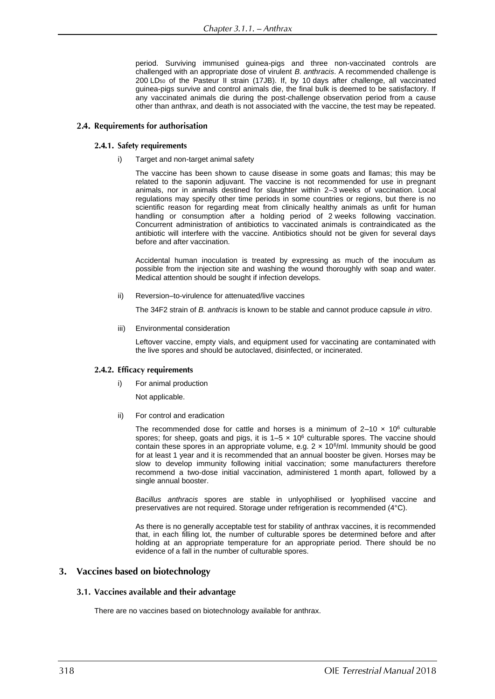period. Surviving immunised guinea-pigs and three non-vaccinated controls are challenged with an appropriate dose of virulent *B. anthracis*. A recommended challenge is 200 LD<sup>50</sup> of the Pasteur II strain (17JB). If, by 10 days after challenge, all vaccinated guinea-pigs survive and control animals die, the final bulk is deemed to be satisfactory. If any vaccinated animals die during the post-challenge observation period from a cause other than anthrax, and death is not associated with the vaccine, the test may be repeated.

### 2.4. Requirements for authorisation

### 2.4.1. Safety requirements

Target and non-target animal safety

The vaccine has been shown to cause disease in some goats and llamas; this may be related to the saponin adjuvant. The vaccine is not recommended for use in pregnant animals, nor in animals destined for slaughter within 2–3 weeks of vaccination. Local regulations may specify other time periods in some countries or regions, but there is no scientific reason for regarding meat from clinically healthy animals as unfit for human handling or consumption after a holding period of 2 weeks following vaccination. Concurrent administration of antibiotics to vaccinated animals is contraindicated as the antibiotic will interfere with the vaccine. Antibiotics should not be given for several days before and after vaccination.

Accidental human inoculation is treated by expressing as much of the inoculum as possible from the injection site and washing the wound thoroughly with soap and water. Medical attention should be sought if infection develops.

ii) Reversion–to-virulence for attenuated/live vaccines

The 34F2 strain of *B. anthracis* is known to be stable and cannot produce capsule *in vitro*.

iii) Environmental consideration

Leftover vaccine, empty vials, and equipment used for vaccinating are contaminated with the live spores and should be autoclaved, disinfected, or incinerated.

### 2.4.2. Efficacy requirements

i) For animal production

Not applicable.

ii) For control and eradication

The recommended dose for cattle and horses is a minimum of  $2-10 \times 10^6$  culturable spores; for sheep, goats and pigs, it is  $1-5 \times 10^6$  culturable spores. The vaccine should contain these spores in an appropriate volume, e.g.  $2 \times 10^6$ /ml. Immunity should be good for at least 1 year and it is recommended that an annual booster be given. Horses may be slow to develop immunity following initial vaccination; some manufacturers therefore recommend a two-dose initial vaccination, administered 1 month apart, followed by a single annual booster.

*Bacillus anthracis* spores are stable in unlyophilised or lyophilised vaccine and preservatives are not required. Storage under refrigeration is recommended (4°C).

As there is no generally acceptable test for stability of anthrax vaccines, it is recommended that, in each filling lot, the number of culturable spores be determined before and after holding at an appropriate temperature for an appropriate period. There should be no evidence of a fall in the number of culturable spores.

### 3. Vaccines based on biotechnology

### 3.1. Vaccines available and their advantage

There are no vaccines based on biotechnology available for anthrax.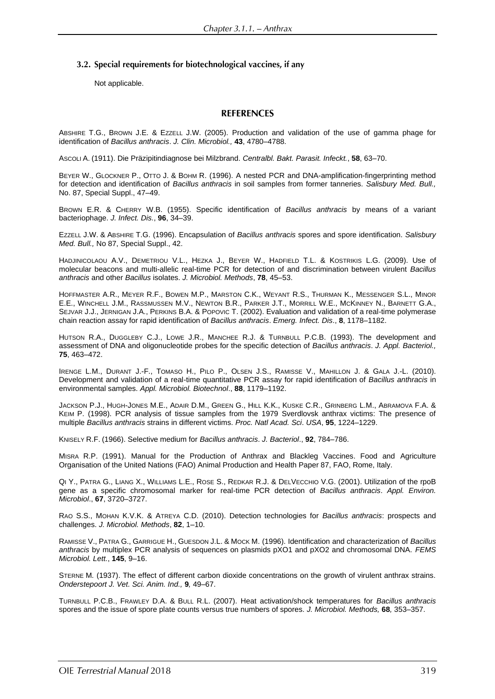### 3.2. Special requirements for biotechnological vaccines, if any

Not applicable.

### **REFERENCES**

ABSHIRE T.G., BROWN J.E. & EZZELL J.W. (2005). Production and validation of the use of gamma phage for identification of *Bacillus anthracis*. *J. Clin. Microbiol.,* **43**, 4780–4788.

ASCOLI A. (1911). Die Präzipitindiagnose bei Milzbrand. *Centralbl. Bakt. Parasit. Infeckt.*, **58**, 63–70.

BEYER W., GLOCKNER P., OTTO J. & BOHM R. (1996). A nested PCR and DNA-amplification-fingerprinting method for detection and identification of *Bacillus anthracis* in soil samples from former tanneries. *Salisbury Med. Bull.,*  No. 87, Special Suppl., 47–49.

BROWN E.R. & CHERRY W.B. (1955). Specific identification of *Bacillus anthracis* by means of a variant bacteriophage. *J. Infect. Dis.*, **96**, 34–39.

EZZELL J.W. & ABSHIRE T.G. (1996). Encapsulation of *Bacillus anthracis* spores and spore identification. *Salisbury Med. Bull.,* No 87, Special Suppl., 42.

HADJINICOLAOU A.V., DEMETRIOU V.L., HEZKA J., BEYER W., HADFIELD T.L. & KOSTRIKIS L.G. (2009). Use of molecular beacons and multi-allelic real-time PCR for detection of and discrimination between virulent *Bacillus anthracis* and other *Bacillus* isolates. *J. Microbiol. Methods*, **78**, 45–53.

HOFFMASTER A.R., MEYER R.F., BOWEN M.P., MARSTON C.K., WEYANT R.S., THURMAN K., MESSENGER S.L., MINOR E.E., WINCHELL J.M., RASSMUSSEN M.V., NEWTON B.R., PARKER J.T., MORRILL W.E., MCKINNEY N., BARNETT G.A., SEJVAR J.J., JERNIGAN J.A., PERKINS B.A. & POPOVIC T. (2002). Evaluation and validation of a real-time polymerase chain reaction assay for rapid identification of *Bacillus anthracis*. *Emerg. Infect. Dis*., **8**, 1178–1182.

HUTSON R.A., DUGGLEBY C.J., LOWE J.R., MANCHEE R.J. & TURNBULL P.C.B. (1993). The development and assessment of DNA and oligonucleotide probes for the specific detection of *Bacillus anthracis*. *J. Appl. Bacteriol.,* **75**, 463–472.

IRENGE L.M., DURANT J.-F., TOMASO H., PILO P., OLSEN J.S., RAMISSE V., MAHILLON J. & GALA J.-L. (2010). Development and validation of a real-time quantitative PCR assay for rapid identification of *Bacillus anthracis* in environmental samples. *Appl. Microbiol. Biotechnol*., **88**, 1179–1192.

JACKSON P.J., HUGH-JONES M.E., ADAIR D.M., GREEN G., HILL K.K., KUSKE C.R., GRINBERG L.M., ABRAMOVA F.A. & KEIM P. (1998). PCR analysis of tissue samples from the 1979 Sverdlovsk anthrax victims: The presence of multiple *Bacillus anthracis* strains in different victims. *Proc. Natl Acad. Sci*. *USA*, **95**, 1224–1229.

KNISELY R.F. (1966). Selective medium for *Bacillus anthracis*. *J. Bacteriol*., **92**, 784–786.

MISRA R.P. (1991). Manual for the Production of Anthrax and Blackleg Vaccines. Food and Agriculture Organisation of the United Nations (FAO) Animal Production and Health Paper 87, FAO, Rome, Italy.

QI Y., PATRA G., LIANG X., WILLIAMS L.E., ROSE S., REDKAR R.J. & DELVECCHIO V.G. (2001). Utilization of the rpoB gene as a specific chromosomal marker for real-time PCR detection of *Bacillus anthracis*. *Appl. Environ. Microbiol*., **67**, 3720–3727.

RAO S.S., MOHAN K.V.K. & ATREYA C.D. (2010). Detection technologies for *Bacillus anthracis*: prospects and challenges. *J. Microbiol. Methods*, **82**, 1–10.

RAMISSE V., PATRA G., GARRIGUE H., GUESDON J.L. & MOCK M. (1996). Identification and characterization of *Bacillus anthracis* by multiplex PCR analysis of sequences on plasmids pXO1 and pXO2 and chromosomal DNA. *FEMS Microbiol. Lett.*, **145**, 9–16.

STERNE M*.* (1937). The effect of different carbon dioxide concentrations on the growth of virulent anthrax strains. *Onderstepoort J. Vet. Sci. Anim. Ind.,* **9***,* 49–67.

TURNBULL P.C.B., FRAWLEY D.A. & BULL R.L. (2007). Heat activation/shock temperatures for *Bacillus anthracis* spores and the issue of spore plate counts versus true numbers of spores. *J. Microbiol. Methods,* **68***,* 353–357.